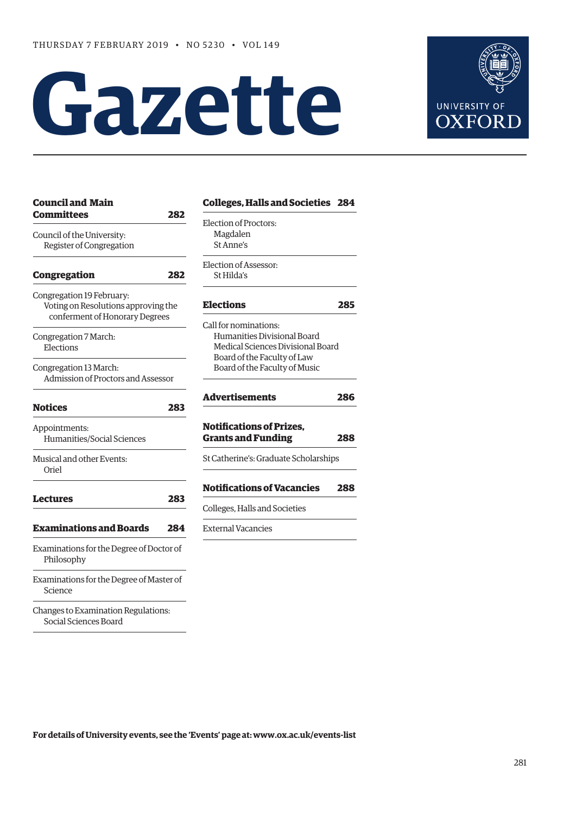# **Gazette**



| <b>Council and Main</b>                  |     | <b>Colleges, Halls</b>    |
|------------------------------------------|-----|---------------------------|
| <b>Committees</b>                        | 282 | Election of Procto        |
| Council of the University:               |     | Magdalen                  |
| Register of Congregation                 |     | St Anne's                 |
|                                          |     | <b>Election of Assess</b> |
| Congregation                             | 282 | St Hilda's                |
| Congregation 19 February:                |     |                           |
| Voting on Resolutions approving the      |     | <b>Elections</b>          |
| conferment of Honorary Degrees           |     | Call for nominatio        |
| Congregation 7 March:                    |     | Humanities Div            |
| Elections                                |     | Medical Scienc            |
|                                          |     | Board of the Fa           |
| Congregation 13 March:                   |     | Board of the Fa           |
| Admission of Proctors and Assessor       |     |                           |
| <b>Notices</b>                           | 283 | Advertisement             |
|                                          |     | Notifications o           |
| Appointments:                            |     |                           |
| Humanities/Social Sciences               |     | <b>Grants and Fur</b>     |
| Musical and other Events:                |     | St Catherine's: Gra       |
| Oriel                                    |     |                           |
|                                          |     | Notifications o           |
| <b>Lectures</b>                          | 283 | Colleges, Halls and       |
| <b>Examinations and Boards</b>           | 284 | <b>External Vacancie</b>  |
| Examinations for the Degree of Doctor of |     |                           |
| Philosophy                               |     |                           |
| Examinations for the Degree of Master of |     |                           |
| Science                                  |     |                           |
| Changes to Examination Regulations:      |     |                           |
| Social Sciences Board                    |     |                           |

| Election of Proctors:                                        |     |
|--------------------------------------------------------------|-----|
| Magdalen<br>St Anne's                                        |     |
| Election of Assessor:<br>St Hilda's                          |     |
|                                                              |     |
| <b>Elections</b>                                             | 285 |
| Call for nominations:                                        |     |
| Humanities Divisional Board                                  |     |
| Medical Sciences Divisional Board                            |     |
| Board of the Faculty of Law<br>Board of the Faculty of Music |     |
|                                                              |     |
| <b>Advertisements</b>                                        | 286 |
| <b>Notifications of Prizes.</b>                              |     |
| <b>Grants and Funding</b>                                    | 288 |
| St Catherine's: Graduate Scholarships                        |     |
| <b>Notifications of Vacancies</b>                            | 288 |
|                                                              |     |
| Colleges, Halls and Societies                                |     |

**For details of University events, see the 'Events' page at: [www.ox.ac.uk/events-list](http://www.ox.ac.uk/events-list)**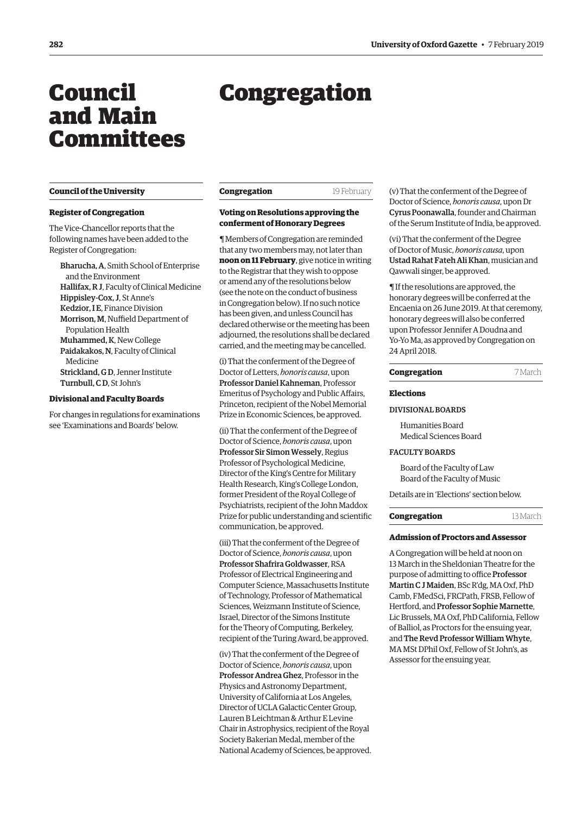# <span id="page-1-0"></span>Council and Main Committees

# **Council of the University**

### **Register of Congregation**

The Vice-Chancellor reports that the following names have been added to the Register of Congregation:

Bharucha, A, Smith School of Enterprise and the Environment Hallifax, R J, Faculty of Clinical Medicine Hippisley-Cox, J, St Anne's Kedzior, I E, Finance Division Morrison, M, Nuffield Department of Population Health Muhammed, K, New College Paidakakos, N, Faculty of Clinical Medicine Strickland, G D, Jenner Institute Turnbull, C D, St John's

### **Divisional and Faculty Boards**

For changes in regulations for examinations see 'Examinations and Boards' below.

# Congregation

| Congregation | 19 February |
|--------------|-------------|
|--------------|-------------|

### **Voting on Resolutions approving the conferment of Honorary Degrees**

¶ Members of Congregation are reminded that any two members may, not later than **noon on 11 February**, give notice in writing to the Registrar that they wish to oppose or amend any of the resolutions below (see the note on the conduct of business in Congregation below). If no such notice has been given, and unless Council has declared otherwise or the meeting has been adjourned, the resolutions shall be declared carried, and the meeting may be cancelled.

(i) That the conferment of the Degree of Doctor of Letters, *honoris causa*, upon Professor Daniel Kahneman, Professor Emeritus of Psychology and Public Affairs, Princeton, recipient of the Nobel Memorial Prize in Economic Sciences, be approved.

(ii) That the conferment of the Degree of Doctor of Science, *honoris causa*, upon Professor Sir Simon Wessely, Regius Professor of Psychological Medicine, Director of the King's Centre for Military Health Research, King's College London, former President of the Royal College of Psychiatrists, recipient of the John Maddox Prize for public understanding and scientific communication, be approved.

(iii) That the conferment of the Degree of Doctor of Science, *honoris causa*, upon Professor Shafrira Goldwasser, RSA Professor of Electrical Engineering and Computer Science, Massachusetts Institute of Technology, Professor of Mathematical Sciences, Weizmann Institute of Science, Israel, Director of the Simons Institute for the Theory of Computing, Berkeley, recipient of the Turing Award, be approved.

(iv) That the conferment of the Degree of Doctor of Science, *honoris causa*, upon Professor Andrea Ghez, Professor in the Physics and Astronomy Department, University of California at Los Angeles, Director of UCLA Galactic Center Group, Lauren B Leichtman & Arthur E Levine Chair in Astrophysics, recipient of the Royal Society Bakerian Medal, member of the National Academy of Sciences, be approved. (v) That the conferment of the Degree of Doctor of Science, *honoris causa*, upon Dr Cyrus Poonawalla, founder and Chairman of the Serum Institute of India, be approved.

(vi) That the conferment of the Degree of Doctor of Music, *honoris causa*, upon Ustad Rahat Fateh Ali Khan, musician and Qawwali singer, be approved.

¶ If the resolutions are approved, the honorary degrees will be conferred at the Encaenia on 26 June 2019. At that ceremony, honorary degrees will also be conferred upon Professor Jennifer A Doudna and Yo-Yo Ma, as approved by Congregation on 24 April 2018.

| Congregation | 7 March |
|--------------|---------|
|--------------|---------|

### **Elections**

### DIVISIONAL BOARDS

Humanities Board Medical Sciences Board

### FACULTY BOARDS

Board of the Faculty of Law Board of the Faculty of Music

Details are in 'Elections' section below.

### **Congregation** 13 March

### **Admission of Proctors and Assessor**

A Congregation will be held at noon on 13 March in the Sheldonian Theatre for the purpose of admitting to office Professor Martin C J Maiden, BSc R'dg, MA Oxf, PhD Camb, FMedSci, FRCPath, FRSB, Fellow of Hertford, and Professor Sophie Marnette, Lic Brussels, MA Oxf, PhD California, Fellow of Balliol, as Proctors for the ensuing year, and The Revd Professor William Whyte, MA MSt DPhil Oxf, Fellow of St John's, as Assessor for the ensuing year.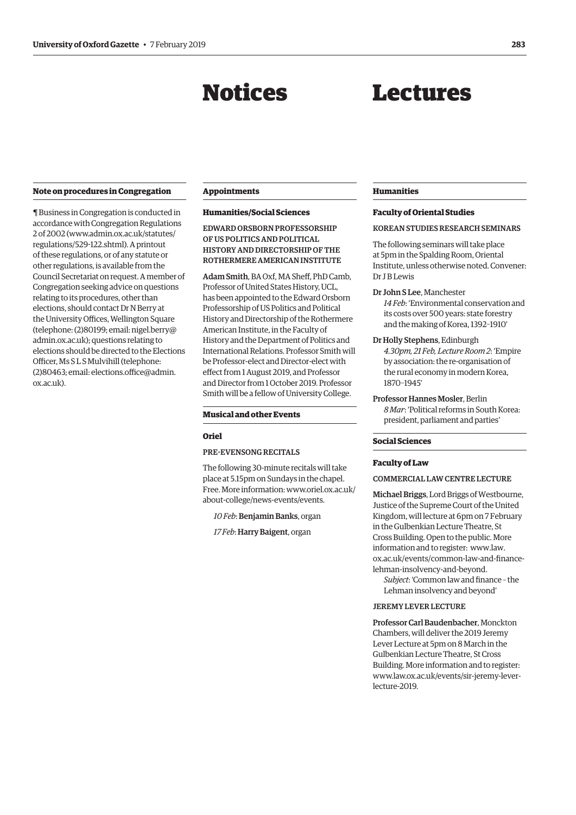# Notices

# Lectures

### <span id="page-2-0"></span>**Note on procedures in Congregation**

¶ Business in Congregation is conducted in accordance with Congregation Regulations 2 of 2002 [\(www.admin.ox.ac.uk/statutes/](http://www.admin.ox.ac.uk/statutes/regulations/529-122.shtml) [regulations/529-122.shtml\). A](http://www.admin.ox.ac.uk/statutes/regulations/529-122.shtml) printout of these regulations, or of any statute or other regulations, is available from the Council Secretariat on request. A member of Congregation seeking advice on questions relating to its procedures, other than elections, should contact Dr N Berry at the University Offices, Wellington Square [\(telephone: \(2\)80199; email: nigel.berry@](mailto:nigel.berry@admin.ox.ac.uk) admin.ox.ac.uk); questions relating to elections should be directed to the Elections Officer, Ms S L S Mulvihill (telephone: [\(2\)80463; email: elections.office@admin.](mailto:elections.office@admin.ox.ac.uk) ox.ac.uk).

### **Appointments**

### **Humanities/Social Sciences**

EDWARD ORSBORN PROFESSORSHIP OF US POLITICS AND POLITICAL HISTORY AND DIRECTORSHIP OF THE ROTHERMERE AMERICAN INSTITUTE

Adam Smith, BA Oxf, MA Sheff, PhD Camb, Professor of United States History, UCL, has been appointed to the Edward Orsborn Professorship of US Politics and Political History and Directorship of the Rothermere American Institute, in the Faculty of History and the Department of Politics and International Relations. Professor Smith will be Professor-elect and Director-elect with effect from 1 August 2019, and Professor and Director from 1 October 2019. Professor Smith will be a fellow of University College.

### **Musical and other Events**

### **Oriel**

### PRE-EVENSONG RECITALS

The following 30-minute recitals will take place at 5.15pm on Sundays in the chapel. [Free. More information: www.oriel.ox.ac.uk/](www.oriel.ox.ac.uk/about-college/news-events/events) about-college/news-events/events.

*10 Feb*: Benjamin Banks, organ

*17 Feb*: Harry Baigent, organ

### **Humanities**

### **Faculty of Oriental Studies**

### KOREAN STUDIES RESEARCH SEMINARS

The following seminars will take place at 5pm in the Spalding Room, Oriental Institute, unless otherwise noted. Convener: Dr I B Lewis

### Dr John S Lee, Manchester

*14 Feb*: 'Environmental conservation and its costs over 500 years: state forestry and the making of Korea, 1392–1910'

### Dr Holly Stephens, Edinburgh

*4.30pm, 21 Feb, Lecture Room 2*: 'Empire by association: the re-organisation of the rural economy in modern Korea, 1870–1945'

### Professor Hannes Mosler, Berlin *8 Mar*: 'Political reforms in South Korea: president, parliament and parties'

### **Social Sciences**

### **Faculty of Law**

### COMMERCIAL LAW CENTRE LECTURE

Michael Briggs, Lord Briggs of Westbourne, Justice of the Supreme Court of the United Kingdom, will lecture at 6pm on 7 February in the Gulbenkian Lecture Theatre, St Cross Building. Open to the public. More information and to register: www.law. [ox.ac.uk/events/common-law-and-finance](www.law.ox.ac.uk/events/common-law-and-finance-lehman-insolvency-and-beyond)lehman-insolvency-and-beyond.

*Subject*: 'Common law and finance – the Lehman insolvency and beyond'

### JEREMY LEVER LECTURE

Professor Carl Baudenbacher, Monckton Chambers, will deliver the 2019 Jeremy Lever Lecture at 5pm on 8 March in the Gulbenkian Lecture Theatre, St Cross Building. More information and to register: [www.law.ox.ac.uk/events/sir-jeremy-lever](http://www.law.ox.ac.uk/events/sir-jeremy-lever-lecture-2019)lecture-2019.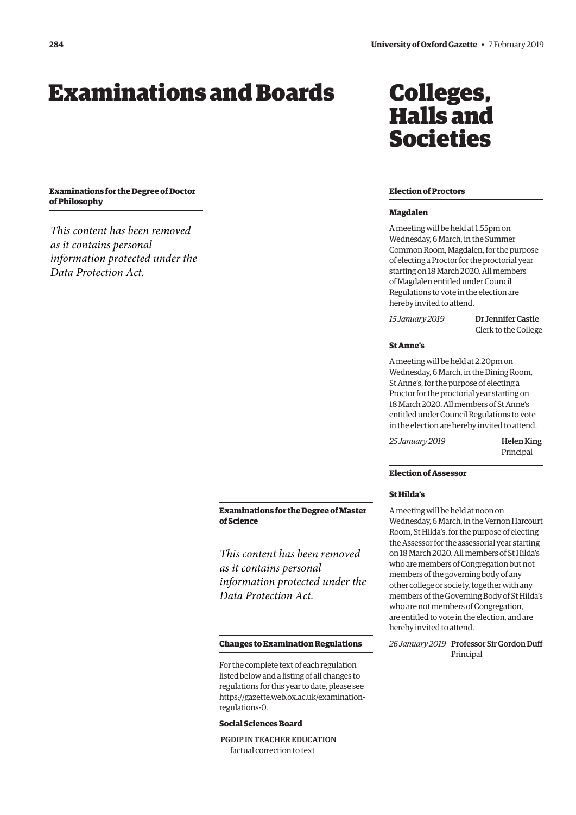# <span id="page-3-0"></span>Examinations and Boards

**Examinations for the Degree of Doctor of Philosophy**

*This content has been removed as it contains personal information protected under the Data Protection Act.*

# Colleges, Halls and Societies

### **Election of Proctors**

### **Magdalen**

A meeting will be held at 1.55pm on Wednesday, 6 March, in the Summer Common Room, Magdalen, for the purpose of electing a Proctor for the proctorial year starting on 18 March 2020. All members of Magdalen entitled under Council Regulations to vote in the election are hereby invited to attend.

*15 January 2019* Dr Jennifer Castle Clerk to the College

### **St Anne's**

A meeting will be held at 2.20pm on Wednesday, 6 March, in the Dining Room, St Anne's, for the purpose of electing a Proctor for the proctorial year starting on 18 March 2020. All members of St Anne's entitled under Council Regulations to vote in the election are hereby invited to attend.

*25 January 2019* Helen King Principal

### **Election of Assessor**

### **St Hilda's**

A meeting will be held at noon on Wednesday, 6 March, in the Vernon Harcourt Room, St Hilda's, for the purpose of electing the Assessor for the assessorial year starting on 18 March 2020. All members of St Hilda's who are members of Congregation but not members of the governing body of any other college or society, together with any members of the Governing Body of St Hilda's who are not members of Congregation, are entitled to vote in the election, and are hereby invited to attend.

*26 January 2019* Professor Sir Gordon Duff Principal

### **Examinations for the Degree of Master of Science**

*This content has been removed as it contains personal information protected under the Data Protection Act.*

### **Changes to Examination Regulations**

For the complete text of each regulation listed below and a listing of all changes to regulations for this year to date, please see [https://gazette.web.ox.ac.uk/examination](https://gazette.web.ox.ac.uk/examination-regulations-0)regulations-0.

### **Social Sciences Board**

 PGDIP IN TEACHER EDUCATION factual correction to text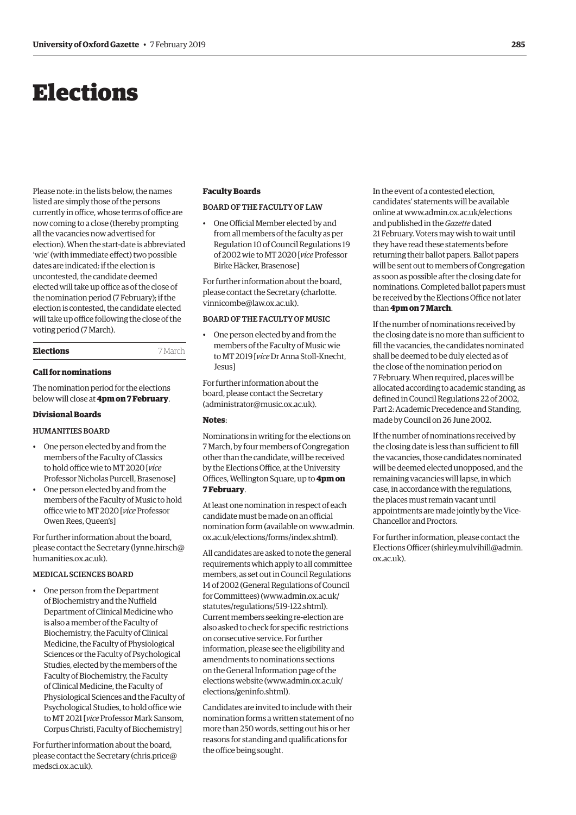# <span id="page-4-0"></span>Elections

Please note: in the lists below, the names listed are simply those of the persons currently in office, whose terms of office are now coming to a close (thereby prompting all the vacancies now advertised for election). When the start-date is abbreviated 'wie' (with immediate effect) two possible dates are indicated: if the election is uncontested, the candidate deemed elected will take up office as of the close of the nomination period (7 February); if the election is contested, the candidate elected will take up office following the close of the voting period (7 March).

### **Elections** 7 March

### **Call for nominations**

The nomination period for the elections below will close at **4pm on 7 February**.

### **Divisional Boards**

### HUMANITIES BOARD

- One person elected by and from the members of the Faculty of Classics to hold office wie to MT 2020 [*vice* Professor Nicholas Purcell, Brasenose]
- One person elected by and from the members of the Faculty of Music to hold office wie to MT 2020 [*vice* Professor Owen Rees, Queen's]

For further information about the board, please contact the Secretary [\(lynne.hirsch@](mailto:lynne.hirsch@humanities.ox.ac.uk) [humanities.ox.ac.uk\).](mailto:lynne.hirsch@humanities.ox.ac.uk)

### MEDICAL SCIENCES BOARD

• One person from the Department of Biochemistry and the Nuffield Department of Clinical Medicine who is also a member of the Faculty of Biochemistry, the Faculty of Clinical Medicine, the Faculty of Physiological Sciences or the Faculty of Psychological Studies, elected by the members of the Faculty of Biochemistry, the Faculty of Clinical Medicine, the Faculty of Physiological Sciences and the Faculty of Psychological Studies, to hold office wie to MT 2021 [*vice* Professor Mark Sansom, Corpus Christi, Faculty of Biochemistry]

For further information about the board, please contact the Secretary [\(chris.price@](mailto:chris.price@medsci.ox.ac.uk) [medsci.ox.ac.uk\).](mailto:chris.price@medsci.ox.ac.uk)

### **Faculty Boards**

### BOARD OF THE FACULTY OF LAW

• One Official Member elected by and from all members of the faculty as per Regulation 10 of Council Regulations 19 of 2002 wie to MT 2020 [*vice* Professor Birke Häcker, Brasenose]

For further information about the board, [please contact the Secretary \(charlotte.](mailto:charlotte.vinnicombe@law.ox.ac.uk) vinnicombe@law.ox.ac.uk).

### BOARD OF THE FACULTY OF MUSIC

• One person elected by and from the members of the Faculty of Music wie to MT 2019 [*vice* Dr Anna Stoll-Knecht, Jesus]

For further information about the board, please contact the Secretary [\(administrator@music.ox.ac.uk\).](mailto:administrator@music.ox.ac.uk)

### **Notes**:

Nominations in writing for the elections on 7 March, by four members of Congregation other than the candidate, will be received by the Elections Office, at the University Offices, Wellington Square, up to **4pm on 7 February**.

At least one nomination in respect of each candidate must be made on an official [nomination form \(available on www.admin.](www.admin.ox.ac.uk/elections/forms/index.shtml) ox.ac.uk/elections/forms/index.shtml).

All candidates are asked to note the general requirements which apply to all committee members, as set out in Council Regulations 14 of 2002 (General Regulations of Council for Committees) [\(www.admin.ox.ac.uk/](http://www.admin.ox.ac.uk/statutes/regulations/519-122.shtml) [statutes/regulations/519-122.shtml\).](http://www.admin.ox.ac.uk/statutes/regulations/519-122.shtml)  Current members seeking re-election are also asked to check for specific restrictions on consecutive service. For further information, please see the eligibility and amendments to nominations sections on the General Information page of the elections website ([www.admin.ox.ac.uk/](http://www.admin.ox.ac.uk/elections/geninfo.shtml) [elections/geninfo.shtml\).](http://www.admin.ox.ac.uk/elections/geninfo.shtml)

Candidates are invited to include with their nomination forms a written statement of no more than 250 words, setting out his or her reasons for standing and qualifications for the office being sought.

In the event of a contested election, candidates' statements will be available online at [www.admin.ox.ac.uk/elections](http://www.admin.ox.ac.uk/elections)  and published in the *Gazette* dated 21 February. Voters may wish to wait until they have read these statements before returning their ballot papers. Ballot papers will be sent out to members of Congregation as soon as possible after the closing date for nominations. Completed ballot papers must be received by the Elections Office not later than **4pm on 7 March**.

If the number of nominations received by the closing date is no more than sufficient to fill the vacancies, the candidates nominated shall be deemed to be duly elected as of the close of the nomination period on 7 February. When required, places will be allocated according to academic standing, as defined in Council Regulations 22 of 2002, Part 2: Academic Precedence and Standing, made by Council on 26 June 2002.

If the number of nominations received by the closing date is less than sufficient to fill the vacancies, those candidates nominated will be deemed elected unopposed, and the remaining vacancies will lapse, in which case, in accordance with the regulations, the places must remain vacant until appointments are made jointly by the Vice-Chancellor and Proctors.

For further information, please contact the Elections Officer [\(shirley.mulvihill@admin.](mailto:shirley.mulvihill@admin.ox.ac.uk) [ox.ac.uk\).](mailto:shirley.mulvihill@admin.ox.ac.uk)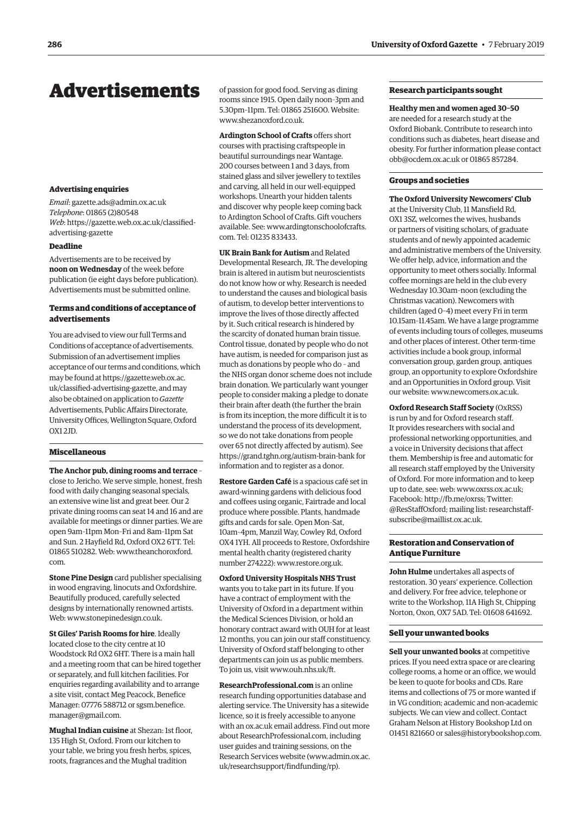## <span id="page-5-0"></span>Advertisements

### **Advertising enquiries**

*Email*: [gazette.ads@admin.ox.ac.uk](mailto:gazette.ads@admin.ox.ac.uk) *Telephone*: 01865 (2)80548 *Web*: https://[gazette.web.ox.ac.uk/classified](http://www.ox.ac.uk/gazette/classifiedadvertising)[advertising-gazette](http://www.ox.ac.uk/gazette/classifiedadvertising)

### **Deadline**

Advertisements are to be received by **noon on Wednesday** of the week before publication (ie eight days before publication). Advertisements must be submitted online.

### **Terms and conditions of acceptance of advertisements**

You are advised to view our full Terms and Conditions of acceptance of advertisements. Submission of an advertisement implies acceptance of our terms and conditions, which may be found at https://gazette.web.ox.ac. [uk/classified-advertising-gazette, and may](https://gazette.web.ox.ac.uk/classified-advertising-gazette)  also be obtained on application to *Gazette* Advertisements, Public Affairs Directorate, University Offices, Wellington Square, Oxford OX1 2JD.

### **Miscellaneous**

**The Anchor pub, dining rooms and terrace** – close to Jericho. We serve simple, honest, fresh food with daily changing seasonal specials, an extensive wine list and great beer. Our 2 private dining rooms can seat 14 and 16 and are available for meetings or dinner parties. We are open 9am–11pm Mon–Fri and 8am–11pm Sat and Sun. 2 Hayfield Rd, Oxford OX2 6TT. Tel: [01865 510282. Web: www.theanchoroxford.](www.theanchoroxford.com) com.

**Stone Pine Design** card publisher specialising in wood engraving, linocuts and Oxfordshire. Beautifully produced, carefully selected designs by internationally renowned artists. Web: [www.stonepinedesign.co.uk.](http://www.stonepinedesign.co.uk)

**St Giles' Parish Rooms for hire**. Ideally located close to the city centre at 10 Woodstock Rd OX2 6HT. There is a main hall and a meeting room that can be hired together or separately, and full kitchen facilities. For enquiries regarding availability and to arrange a site visit, contact Meg Peacock, Benefice [Manager: 07776 588712 or sgsm.benefice.](mailto:sgsm.benefice.manager@gmail.com) manager@gmail.com.

**Mughal Indian cuisine** at Shezan: 1st floor, 135 High St, Oxford. From our kitchen to your table, we bring you fresh herbs, spices, roots, fragrances and the Mughal tradition

of passion for good food. Serving as dining rooms since 1915. Open daily noon–3pm and 5.30pm–11pm. Tel: 01865 251600. Website: [www.shezanoxford.co.uk.](http://www.shezanoxford.co.uk)

**Ardington School of Crafts** offers short courses with practising craftspeople in beautiful surroundings near Wantage. 200 courses between 1 and 3 days, from stained glass and silver jewellery to textiles and carving, all held in our well-equipped workshops. Unearth your hidden talents and discover why people keep coming back to Ardington School of Crafts. Gift vouchers [available. See: www.ardingtonschoolofcrafts.](www.ardingtonschoolofcrafts.com) com. Tel: 01235 833433.

**UK Brain Bank for Autism** and Related Developmental Research, JR. The developing brain is altered in autism but neuroscientists do not know how or why. Research is needed to understand the causes and biological basis of autism, to develop better interventions to improve the lives of those directly affected by it. Such critical research is hindered by the scarcity of donated human brain tissue. Control tissue, donated by people who do not have autism, is needed for comparison just as much as donations by people who do – and the NHS organ donor scheme does not include brain donation. We particularly want younger people to consider making a pledge to donate their brain after death (the further the brain is from its inception, the more difficult it is to understand the process of its development, so we do not take donations from people over 65 not directly affected by autism). See [https://grand.tghn.org/autism-brain-bank fo](https://grand.tghn.org/autism-brain-bank)r information and to register as a donor.

**Restore Garden Café** is a spacious café set in award-winning gardens with delicious food and coffees using organic, Fairtrade and local produce where possible. Plants, handmade gifts and cards for sale. Open Mon–Sat, 10am–4pm, Manzil Way, Cowley Rd, Oxford OX4 1YH. All proceeds to Restore, Oxfordshire mental health charity (registered charity number 274222): [www.restore.org.uk.](http://www.restore.org.uk)

**Oxford University Hospitals NHS Trust**  wants you to take part in its future. If you have a contract of employment with the University of Oxford in a department within the Medical Sciences Division, or hold an honorary contract award with OUH for at least 12 months, you can join our staff constituency. University of Oxford staff belonging to other departments can join us as public members. To join us, visit [www.ouh.nhs.uk/ft.](http://www.ouh.nhs.uk/ft)

**ResearchProfessional.com** is an online research funding opportunities database and alerting service. The University has a sitewide licence, so it is freely accessible to anyone with an ox.ac.uk email address. Find out more about ResearchProfessional.com, including user guides and training sessions, on the Research Services website ([www.admin.ox.ac.](http://www.admin.ox.ac.uk/researchsupport/findfunding/rp) [uk/researchsupport/findfunding/rp\).](http://www.admin.ox.ac.uk/researchsupport/findfunding/rp) 

### **Research participants sought**

**Healthy men and women aged 30–50** are needed for a research study at the Oxford Biobank. Contribute to research into conditions such as diabetes, heart disease and obesity. For further information please contact [obb@ocdem.ox.ac.uk or](mailto:obb@ocdem.ox.ac.uk) 01865 857284.

### **Groups and societies**

### **The Oxford University Newcomers' Club** at the University Club, 11 Mansfield Rd, OX1 3SZ, welcomes the wives, husbands or partners of visiting scholars, of graduate students and of newly appointed academic and administrative members of the University. We offer help, advice, information and the

opportunity to meet others socially. Informal coffee mornings are held in the club every Wednesday 10.30am–noon (excluding the Christmas vacation). Newcomers with children (aged 0–4) meet every Fri in term 10.15am–11.45am. We have a large programme of events including tours of colleges, museums and other places of interest. Other term-time activities include a book group, informal conversation group, garden group, antiques group, an opportunity to explore Oxfordshire and an Opportunities in Oxford group. Visit our website: [www.newcomers.ox.ac.uk.](http://www.newcomers.ox.ac.uk) 

**Oxford Research Staff Society** (OxRSS) is run by and for Oxford research staff. It provides researchers with social and professional networking opportunities, and a voice in University decisions that affect them. Membership is free and automatic for all research staff employed by the University of Oxford. For more information and to keep up to date, see: web: [www.oxrss.ox.ac.uk;](http://www.oxrss.ox.ac.uk)  Facebook: [http://fb.me/oxrss; Tw](http://fb.me/oxrss)itter: [@ResStaffOxford; mailing list: researchstaff](mailto:researchstaff-subscribe@maillist.ox.ac.uk)subscribe@maillist.ox.ac.uk.

### **Restoration and Conservation of Antique Furniture**

**John Hulme** undertakes all aspects of restoration. 30 years' experience. Collection and delivery. For free advice, telephone or write to the Workshop, 11A High St, Chipping Norton, Oxon, OX7 5AD. Tel: 01608 641692.

### **Sell your unwanted books**

**Sell your unwanted books** at competitive prices. If you need extra space or are clearing college rooms, a home or an office, we would be keen to quote for books and CDs. Rare items and collections of 75 or more wanted if in VG condition; academic and non-academic subjects. We can view and collect. Contact Graham Nelson at History Bookshop Ltd on 01451 821660 or [sales@historybookshop.com.](mailto:sales@historybookshop.com)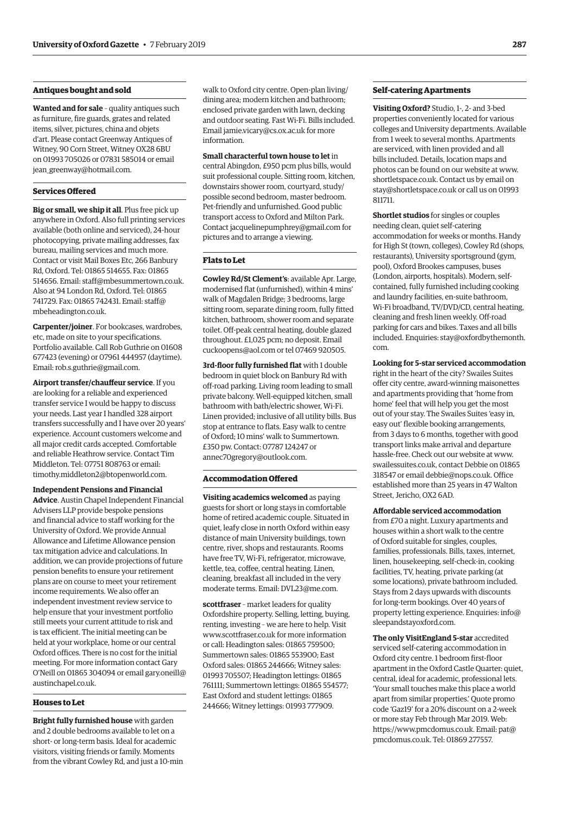### **Antiques bought and sold**

**Wanted and for sale** – quality antiques such as furniture, fire guards, grates and related items, silver, pictures, china and objets d'art. Please contact Greenway Antiques of Witney, 90 Corn Street, Witney OX28 6BU on 01993 705026 or 07831 585014 or email [jean\\_greenway@hotmail.com.](mailto:jean_greenway@hotmail.com)

### **Services Offered**

**Big or small, we ship it all**. Plus free pick up anywhere in Oxford. Also full printing services available (both online and serviced), 24-hour photocopying, private mailing addresses, fax bureau, mailing services and much more. Contact or visit Mail Boxes Etc, 266 Banbury Rd, Oxford. Tel: 01865 514655. Fax: 01865 514656. Email: [staff@mbesummertown.co.uk.](mailto:staff@mbesummertown.co.uk)  Also at 94 London Rd, Oxford. Tel: 01865 [741729. Fax: 01865 742431. Email: staff@](mailto:staff@mbeheadington.co.uk) mbeheadington.co.uk.

**Carpenter/joiner**. For bookcases, wardrobes, etc, made on site to your specifications. Portfolio available. Call Rob Guthrie on 01608 677423 (evening) or 07961 444957 (daytime). Email: [rob.s.guthrie@gmail.com.](mailto:rob.s.guthrie@gmail.com) 

**Airport transfer/chauffeur service**. If you are looking for a reliable and experienced transfer service I would be happy to discuss your needs. Last year I handled 328 airport transfers successfully and I have over 20 years' experience. Account customers welcome and all major credit cards accepted. Comfortable and reliable Heathrow service. Contact Tim Middleton. Tel: 07751 808763 or email: [timothy.middleton2@btopenworld.com.](mailto:timothy.middleton2@btopenworld.com)

**Independent Pensions and Financial Advice**. Austin Chapel Independent Financial Advisers LLP provide bespoke pensions and financial advice to staff working for the University of Oxford. We provide Annual Allowance and Lifetime Allowance pension tax mitigation advice and calculations. In addition, we can provide projections of future pension benefits to ensure your retirement plans are on course to meet your retirement income requirements. We also offer an independent investment review service to help ensure that your investment portfolio still meets your current attitude to risk and is tax efficient. The initial meeting can be held at your workplace, home or our central Oxford offices. There is no cost for the initial meeting. For more information contact Gary [O'Neill on 01865 304094 or email gary.oneill@](mailto:gary.oneill@austinchapel.co.uk) austinchapel.co.uk.

### **Houses to Let**

**Bright fully furnished house** with garden and 2 double bedrooms available to let on a short- or long-term basis. Ideal for academic visitors, visiting friends or family. Moments from the vibrant Cowley Rd, and just a 10-min walk to Oxford city centre. Open-plan living/ dining area; modern kitchen and bathroom; enclosed private garden with lawn, decking and outdoor seating. Fast Wi-Fi. Bills included. Email [jamie.vicary@cs.ox.ac.uk for](mailto:jamie.vicary@cs.ox.ac.uk) more information.

### **Small characterful town house to let** in

central Abingdon, £950 pcm plus bills, would suit professional couple. Sitting room, kitchen, downstairs shower room, courtyard, study/ possible second bedroom, master bedroom. Pet-friendly and unfurnished. Good public transport access to Oxford and Milton Park. Contact [jacquelinepumphrey@gmail.com fo](mailto:jacquelinepumphrey@gmail.com)r pictures and to arrange a viewing.

### **Flats to Let**

**Cowley Rd/St Clement's**: available Apr. Large, modernised flat (unfurnished), within 4 mins' walk of Magdalen Bridge; 3 bedrooms, large sitting room, separate dining room, fully fitted kitchen, bathroom, shower room and separate toilet. Off-peak central heating, double glazed throughout. £1,025 pcm; no deposit. Email [cuckoopens@aol.com or](mailto:cuckoopens@aol.com) tel 07469 920505.

**3rd-floor fully furnished flat** with 1 double bedroom in quiet block on Banbury Rd with off-road parking. Living room leading to small private balcony. Well-equipped kitchen, small bathroom with bath/electric shower, Wi-Fi. Linen provided; inclusive of all utility bills. Bus stop at entrance to flats. Easy walk to centre of Oxford; 10 mins' walk to Summertown. £350 pw. Contact: 07787 124247 or [annec70gregory@outlook.com.](mailto:annec70gregory@outlook.com)

### **Accommodation Offered**

**Visiting academics welcomed** as paying guests for short or long stays in comfortable home of retired academic couple. Situated in quiet, leafy close in north Oxford within easy distance of main University buildings, town centre, river, shops and restaurants. Rooms have free TV, Wi-Fi, refrigerator, microwave, kettle, tea, coffee, central heating. Linen, cleaning, breakfast all included in the very moderate terms. Email: [DVL23@me.com.](mailto:DVL23@me.com)

**scottfraser** – market leaders for quality Oxfordshire property. Selling, letting, buying, renting, investing – we are here to help. Visit [www.scottfraser.co.uk fo](http://www.scottfraser.co.uk)r more information or call: Headington sales: 01865 759500; Summertown sales: 01865 553900; East Oxford sales: 01865 244666; Witney sales: 01993 705507; Headington lettings: 01865 761111; Summertown lettings: 01865 554577; East Oxford and student lettings: 01865 244666; Witney lettings: 01993 777909.

### **Self-catering Apartments**

**Visiting Oxford?** Studio, 1-, 2- and 3-bed properties conveniently located for various colleges and University departments. Available from 1 week to several months. Apartments are serviced, with linen provided and all bills included. Details, location maps and photos can be found on our website at [www.](http://www.shortletspace.co.uk) [shortletspace.co.uk. Co](http://www.shortletspace.co.uk)ntact us by email on [stay@shortletspace.co.uk or](mailto:stay@shortletspace.co.uk) call us on 01993 811711.

**Shortlet studios** for singles or couples needing clean, quiet self-catering accommodation for weeks or months. Handy for High St (town, colleges), Cowley Rd (shops, restaurants), University sportsground (gym, pool), Oxford Brookes campuses, buses (London, airports, hospitals). Modern, selfcontained, fully furnished including cooking and laundry facilities, en-suite bathroom, Wi-Fi broadband, TV/DVD/CD, central heating, cleaning and fresh linen weekly. Off-road parking for cars and bikes. Taxes and all bills [included. Enquiries: stay@oxfordbythemonth.](mailto:stay@oxfordbythemonth.com) com.

**Looking for 5-star serviced accommodation** right in the heart of the city? Swailes Suites offer city centre, award-winning maisonettes and apartments providing that 'home from home' feel that will help you get the most out of your stay. The Swailes Suites 'easy in, easy out' flexible booking arrangements, from 3 days to 6 months, together with good transport links make arrival and departure hassle-free. Check out our website at [www.](http://www.swailessuites.co.uk) [swailessuites.co.uk, co](http://www.swailessuites.co.uk)ntact Debbie on 01865 318547 or email [debbie@nops.co.uk. Of](mailto:debbie@nops.co.uk)fice established more than 25 years in 47 Walton Street, Jericho, OX2 6AD.

### **Affordable serviced accommodation**

from £70 a night. Luxury apartments and houses within a short walk to the centre of Oxford suitable for singles, couples, families, professionals. Bills, taxes, internet, linen, housekeeping, self-check-in, cooking facilities, TV, heating, private parking (at some locations), private bathroom included. Stays from 2 days upwards with discounts for long-term bookings. Over 40 years of [property letting experience. Enquiries: info@](mailto:info@sleepandstayoxford.com) sleepandstayoxford.com.

**The only VisitEngland 5-star** accredited serviced self-catering accommodation in Oxford city centre. 1 bedroom first-floor apartment in the Oxford Castle Quarter: quiet, central, ideal for academic, professional lets. 'Your small touches make this place a world apart from similar properties.' Quote promo code 'Gaz19' for a 20% discount on a 2-week or more stay Feb through Mar 2019. Web: [https://www.pmcdomus.co.uk. Em](https://www.pmcdomus.co.uk)ail: pat@ [pmcdomus.co.uk. Tel: 01869 277557.](mailto:pat@pmcdomus.co.uk)